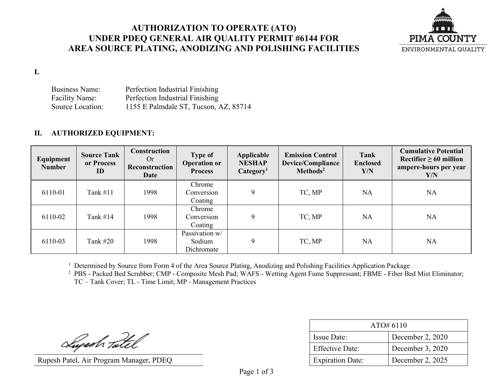### **AUTHORIZATION TO OPERATE (ATO) UNDER PDEQ GENERAL AIR QUALITY PERMIT #6144 FOR AREA SOURCE PLATING, ANODIZING AND POLISHING FACILITIES**



**I.**

Business Name: Perfection Industrial Finishing Facility Name: Perfection Industrial Finishing Source Location: 1155 E Palmdale ST, Tucson, AZ, 85714

### **II. AUTHORIZED EQUIPMENT:**

| Equipment<br><b>Number</b> | <b>Source Tank</b><br>or Process<br>ID | Construction<br>Or<br>Reconstruction<br>Date | <b>Type of</b><br><b>Operation or</b><br><b>Process</b> | Applicable<br><b>NESHAP</b><br>Categorical <sup>1</sup> | <b>Emission Control</b><br>Device/Compliance<br>Methods <sup>2</sup> | Tank<br><b>Enclosed</b><br>Y/N | <b>Cumulative Potential</b><br>Rectifier $\geq 60$ million<br>ampere-hours per year<br>Y/N |
|----------------------------|----------------------------------------|----------------------------------------------|---------------------------------------------------------|---------------------------------------------------------|----------------------------------------------------------------------|--------------------------------|--------------------------------------------------------------------------------------------|
| 6110-01                    | Tank $#11$                             | 1998                                         | Chrome<br>Conversion<br>Coating                         | 9                                                       | TC, MP                                                               | <b>NA</b>                      | <b>NA</b>                                                                                  |
| 6110-02                    | Tank $#14$                             | 1998                                         | Chrome<br>Conversion<br>Coating                         | 9                                                       | TC, MP                                                               | <b>NA</b>                      | <b>NA</b>                                                                                  |
| 6110-03                    | Tank $#20$                             | 1998                                         | Passivation w/<br>Sodium<br>Dichromate                  | 9                                                       | TC, MP                                                               | <b>NA</b>                      | <b>NA</b>                                                                                  |

<sup>1</sup> Determined by Source from Form 4 of the Area Source Plating, Anodizing and Polishing Facilities Application Package

<sup>2</sup> PBS - Packed Bed Scrubber; CMP - Composite Mesh Pad; WAFS - Wetting Agent Fume Suppressant; FBME - Fiber Bed Mist Eliminator; TC – Tank Cover; TL - Time Limit; MP - Management Practices

Lupesh Tatel

Rupesh Patel, Air Program Manager, PDEQ

| ATO#6110                |                  |  |  |
|-------------------------|------------------|--|--|
| <b>Issue Date:</b>      | December 2, 2020 |  |  |
| <b>Effective Date:</b>  | December 3, 2020 |  |  |
| <b>Expiration Date:</b> | December 2, 2025 |  |  |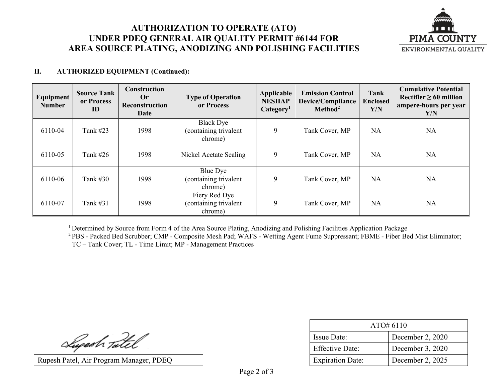# **AUTHORIZATION TO OPERATE (ATO) UNDER PDEQ GENERAL AIR QUALITY PERMIT #6144 FOR AREA SOURCE PLATING, ANODIZING AND POLISHING FACILITIES**



### **II. AUTHORIZED EQUIPMENT (Continued):**

| Equipment<br><b>Number</b> | <b>Source Tank</b><br>or Process<br>ID | Construction<br>Or<br>Reconstruction<br>Date | <b>Type of Operation</b><br>or Process               | Applicable<br><b>NESHAP</b><br>Categorical | <b>Emission Control</b><br><b>Device/Compliance</b><br>Method <sup>2</sup> | <b>Tank</b><br><b>Enclosed</b><br>Y/N | <b>Cumulative Potential</b><br>Rectifier $\geq 60$ million<br>ampere-hours per year<br>Y/N |
|----------------------------|----------------------------------------|----------------------------------------------|------------------------------------------------------|--------------------------------------------|----------------------------------------------------------------------------|---------------------------------------|--------------------------------------------------------------------------------------------|
| 6110-04                    | Tank #23                               | 1998                                         | <b>Black Dye</b><br>(containing trivalent<br>chrome) | 9                                          | Tank Cover, MP                                                             | <b>NA</b>                             | <b>NA</b>                                                                                  |
| 6110-05                    | Tank $#26$                             | 1998                                         | Nickel Acetate Sealing                               | 9                                          | Tank Cover, MP                                                             | <b>NA</b>                             | <b>NA</b>                                                                                  |
| 6110-06                    | Tank $#30$                             | 1998                                         | Blue Dye<br>(containing trivalent<br>chrome)         | 9                                          | Tank Cover, MP                                                             | <b>NA</b>                             | <b>NA</b>                                                                                  |
| 6110-07                    | Tank #31                               | 1998                                         | Fiery Red Dye<br>(containing trivalent<br>chrome)    | 9                                          | Tank Cover, MP                                                             | <b>NA</b>                             | <b>NA</b>                                                                                  |

<sup>1</sup> Determined by Source from Form 4 of the Area Source Plating, Anodizing and Polishing Facilities Application Package

2 PBS - Packed Bed Scrubber; CMP - Composite Mesh Pad; WAFS - Wetting Agent Fume Suppressant; FBME - Fiber Bed Mist Eliminator; TC – Tank Cover; TL - Time Limit; MP - Management Practices

Superh Tatel

Rupesh Patel, Air Program Manager, PDEQ

| ATO#6110                |                  |  |  |
|-------------------------|------------------|--|--|
| <b>Issue Date:</b>      | December 2, 2020 |  |  |
| Effective Date:         | December 3, 2020 |  |  |
| <b>Expiration Date:</b> | December 2, 2025 |  |  |